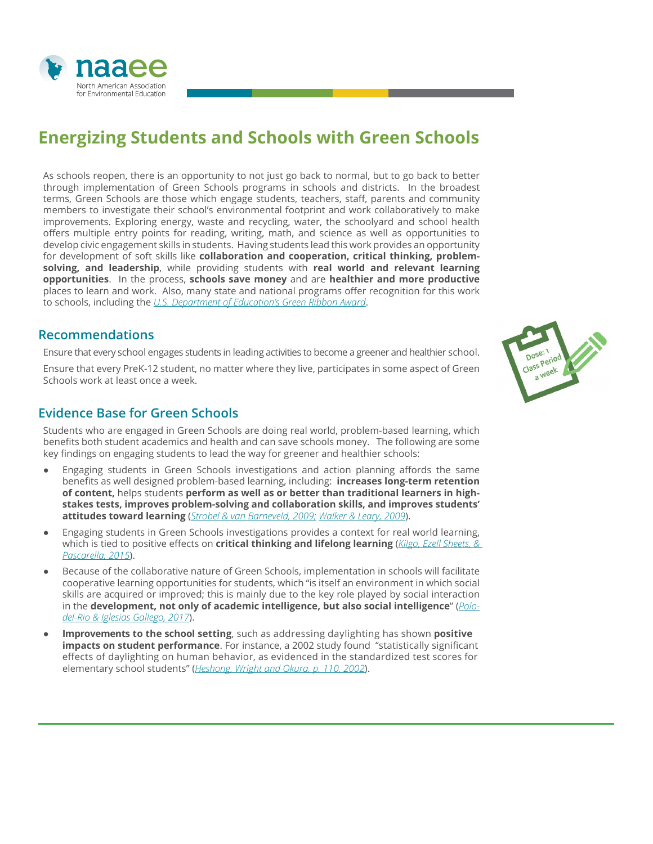

# **Energizing Students and Schools with Green Schools**

As schools reopen, there is an opportunity to not just go back to normal, but to go back to better through implementation of Green Schools programs in schools and districts. In the broadest terms, Green Schools are those which engage students, teachers, staff, parents and community members to investigate their school's environmental footprint and work collaboratively to make improvements. Exploring energy, waste and recycling, water, the schoolyard and school health offers multiple entry points for reading, writing, math, and science as well as opportunities to develop civic engagement skills in students. Having students lead this work provides an opportunity for development of soft skills like **collaboration and cooperation, critical thinking, problemsolving, and leadership**, while providing students with **real world and relevant learning opportunities**. In the process, **schools save money** and are **healthier and more productive** places to learn and work. Also, many state and national programs offer recognition for this work to schools, including the *[U.S. Department of Education's Green Ribbon Award](https://www2.ed.gov/programs/green-ribbon-schools/index.html)*.

## **Recommendations**

Ensure that every school engages students in leading activities to become a greener and healthier school.

Ensure that every PreK-12 student, no matter where they live, participates in some aspect of Green Schools work at least once a week.

## **Evidence Base for Green Schools**

Students who are engaged in Green Schools are doing real world, problem-based learning, which benefits both student academics and health and can save schools money. The following are some key findings on engaging students to lead the way for greener and healthier schools:

- Engaging students in Green Schools investigations and action planning affords the same benefits as well designed problem-based learning, including: **increases long-term retention of content,** helps students **perform as well as or better than traditional learners in highstakes tests, improves problem-solving and collaboration skills, and improves students' attitudes toward learning** (*[Strobel & van Barneveld, 2009;](https://docs.lib.purdue.edu/ijpbl/vol3/iss1/4/) [Walker & Leary, 2009](https://digitalcommons.usu.edu/itls_facpub/15/)*).
- Engaging students in Green Schools investigations provides a context for real world learning, which is tied to positive effects on **critical thinking and lifelong learning** (*[Kilgo, Ezell Sheets, &](https://link.springer.com/article/10.1007/s10734-014-9788-z)  [Pascarella, 2015](https://link.springer.com/article/10.1007/s10734-014-9788-z)*).
- Because of the collaborative nature of Green Schools, implementation in schools will facilitate cooperative learning opportunities for students, which "is itself an environment in which social skills are acquired or improved; this is mainly due to the key role played by social interaction in the **development, not only of academic intelligence, but also social intelligence**" (*[Polo](https://www.frontiersin.org/articles/10.3389/fpsyg.2018.01536/full)[del-Rio & Iglesias Gallego, 2017](https://www.frontiersin.org/articles/10.3389/fpsyg.2018.01536/full)*).
- **Improvements to the school setting**, such as addressing daylighting has shown **positive impacts on student performance**. For instance, a 2002 study found "statistically significant effects of daylighting on human behavior, as evidenced in the standardized test scores for elementary school students" (*[Heshong, Wright and Okura, p. 110, 2002](http://glucky.cn/Uploads/2015/07/13/55a3c36db5de2.pdf)*).